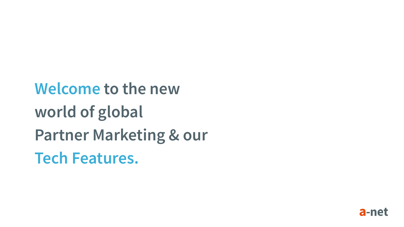**Welcome to the new world of global Partner Marketing & our Tech Features.**

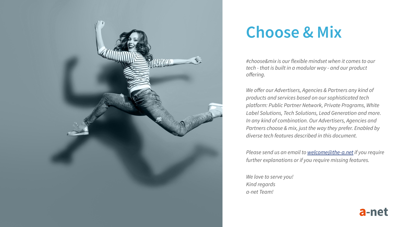

### **Choose & Mix**

*#choose&mix is our flexible mindset when it comes to our tech - that is built in a modular way - and our product offering.*

*We offer our Advertisers, Agencies & Partners any kind of products and services based on our sophisticated tech platform: Public Partner Network, Private Programs, White Label Solutions, Tech Solutions, Lead Generation and more. In any kind of combination. Our Advertisers, Agencies and Partners choose & mix, just the way they prefer. Enabled by diverse tech features described in this document.*

*Please send us an email to [welcome@the-a.net](mailto:welcome@the-a.net) if you require further explanations or if you require missing features.*

*We love to serve you! Kind regards a-net Team!*

a-net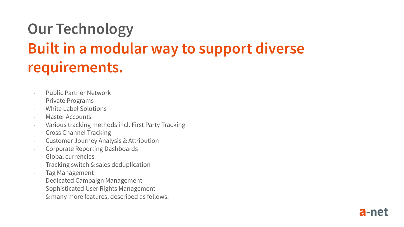# **Our Technology Built in a modular way to support diverse requirements.**

- Public Partner Network
- Private Programs
- White Label Solutions
- Master Accounts
- Various tracking methods incl. First Party Tracking
- Cross Channel Tracking
- Customer Journey Analysis & Attribution
- Corporate Reporting Dashboards
- Global currencies
- Tracking switch & sales deduplication
- Tag Management
- Dedicated Campaign Management
- Sophisticated User Rights Management
- & many more features, described as follows.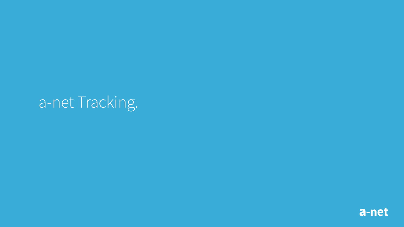# a-net Tracking.

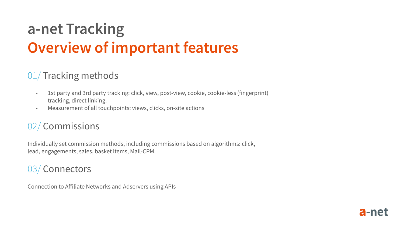## **a-net Tracking Overview of important features**

### 01/ Tracking methods

- 1st party and 3rd party tracking: click, view, post-view, cookie, cookie-less (fingerprint) tracking, direct linking.
- Measurement of all touchpoints: views, clicks, on-site actions

### 02/ Commissions

Individually set commission methods, including commissions based on algorithms: click, lead, engagements, sales, basket items, Mail-CPM.

#### 03/ Connectors

Connection to Affiliate Networks and Adservers using APIs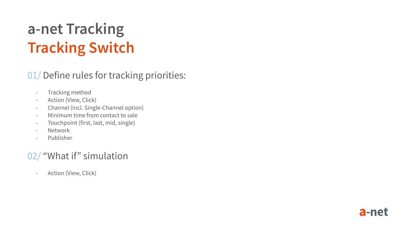# **a-net Tracking Tracking Switch**

### 01/ Define rules for tracking priorities:

- Tracking method
- Action (View, Click)
- Channel (incl. Single-Channel option)
- Minimum time from contact to sale
- Touchpoint (first, last, mid, single)
- Network
- Publisher

### 02/ "What if" simulation

- Action (View, Click)

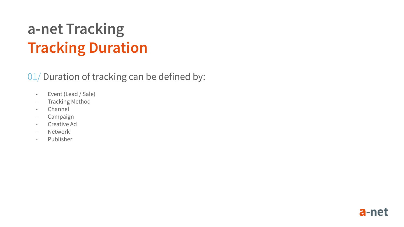## **a-net Tracking Tracking Duration**

### 01/ Duration of tracking can be defined by:

- Event (Lead / Sale)
- Tracking Method
- Channel
- Campaign
- Creative Ad
- Network
- Publisher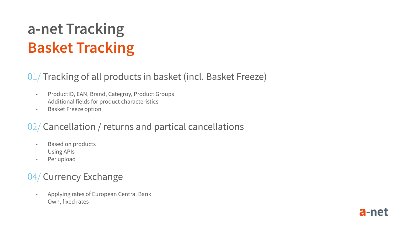# **a-net Tracking Basket Tracking**

### 01/ Tracking of all products in basket (incl. Basket Freeze)

- ProductID, EAN, Brand, Categroy, Product Groups
- Additional fields for product characteristics
- Basket Freeze option

### 02/ Cancellation / returns and partical cancellations

- Based on products
- Using APIs
- Per upload

### 04/ Currency Exchange

- Applying rates of European Central Bank
- Own, fixed rates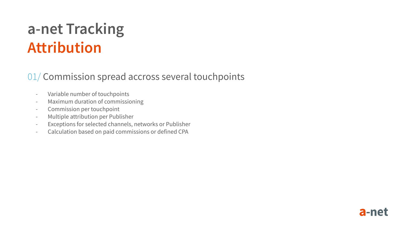## **a-net Tracking Attribution**

#### 01/ Commission spread accross several touchpoints

- Variable number of touchpoints
- Maximum duration of commissioning
- Commission per touchpoint
- Multiple attribution per Publisher
- Exceptions for selected channels, networks or Publisher
- Calculation based on paid commissions or defined CPA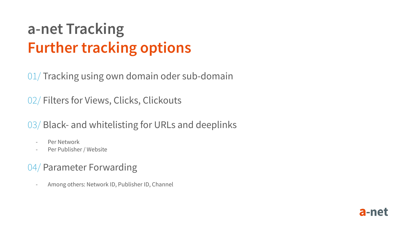## **a-net Tracking Further tracking options**

01/ Tracking using own domain oder sub-domain

02/ Filters for Views, Clicks, Clickouts

03/ Black- and whitelisting for URLs and deeplinks

- Per Network
- Per Publisher / Website

#### 04/ Parameter Forwarding

- Among others: Network ID, Publisher ID, Channel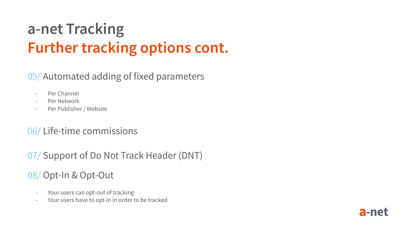## **a-net Tracking Further tracking options cont.**

### 05/ Automated adding of fixed parameters

- Per Channel
- Per Network
- Per Publisher / Website

#### 06/ Life-time commissions

07/ Support of Do Not Track Header (DNT)

#### 08/ Opt-In & Opt-Out

- Your users can opt-out of tracking
- Your users have to opt-in in order to be tracked

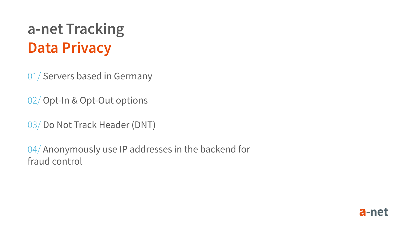## **a-net Tracking Data Privacy**

01/ Servers based in Germany

02/ Opt-In & Opt-Out options

03/ Do Not Track Header (DNT)

04/ Anonymously use IP addresses in the backend for fraud control

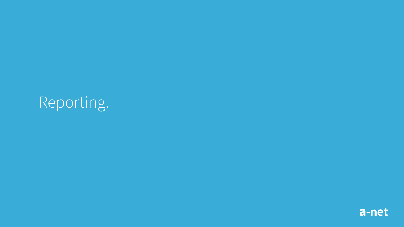# Reporting.

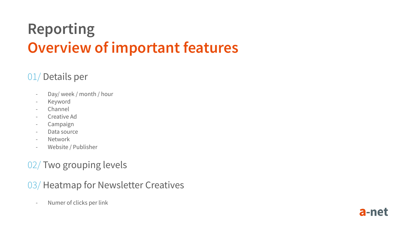# **Reporting Overview of important features**

### 01/ Details per

- Day/ week / month / hour
- Keyword
- Channel
- Creative Ad
- Campaign
- Data source
- Network
- Website / Publisher

### 02/ Two grouping levels

#### 03/ Heatmap for Newsletter Creatives

- Numer of clicks per link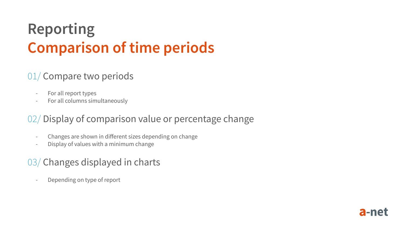## **Reporting Comparison of time periods**

### 01/ Compare two periods

- For all report types
- For all columns simultaneously

### 02/ Display of comparison value or percentage change

- Changes are shown in different sizes depending on change
- Display of values with a minimum change

#### 03/ Changes displayed in charts

- Depending on type of report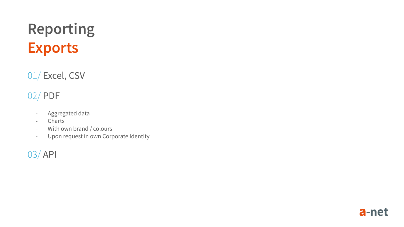# **Reporting Exports**

01/ Excel, CSV

### 02/ PDF

- Aggregated data
- Charts
- With own brand / colours
- Upon request in own Corporate Identity

#### 03/ API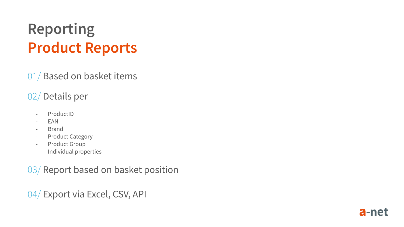## **Reporting Product Reports**

01/ Based on basket items

### 02/ Details per

- ProductID
- EAN
- Brand
- Product Category
- Product Group
- Individual properties

03/ Report based on basket position

04/ Export via Excel, CSV, API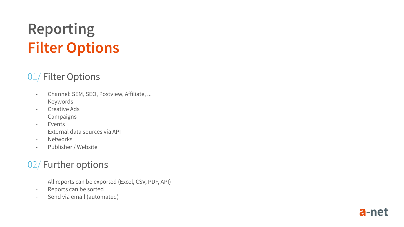## **Reporting Filter Options**

#### 01/ Filter Options

- Channel: SEM, SEO, Postview, Affiliate, ...
- Keywords
- Creative Ads
- Campaigns
- Events
- External data sources via API
- Networks
- Publisher / Website

### 02/ Further options

- All reports can be exported (Excel, CSV, PDF, API)
- Reports can be sorted
- Send via email (automated)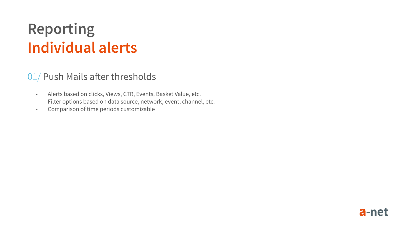### **Reporting Individual alerts**

#### 01/ Push Mails after thresholds

- Alerts based on clicks, Views, CTR, Events, Basket Value, etc.
- Filter options based on data source, network, event, channel, etc.
- Comparison of time periods customizable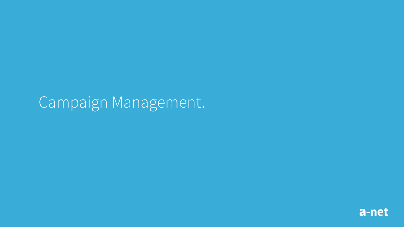### Campaign Management.

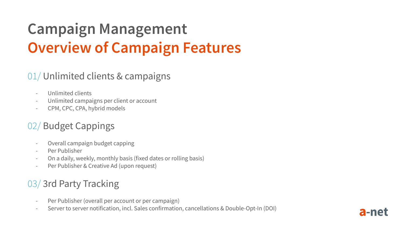# **Campaign Management Overview of Campaign Features**

#### 01/ Unlimited clients & campaigns

- Unlimited clients
- Unlimited campaigns per client or account
- CPM, CPC, CPA, hybrid models

### 02/ Budget Cappings

- Overall campaign budget capping
- Per Publisher
- On a daily, weekly, monthly basis (fixed dates or rolling basis)
- Per Publisher & Creative Ad (upon request)

### 03/ 3rd Party Tracking

- Per Publisher (overall per account or per campaign)
- Server to server notification, incl. Sales confirmation, cancellations & Double-Opt-In (DOI)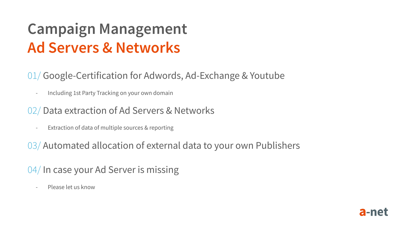## **Campaign Management Ad Servers & Networks**

#### 01/ Google-Certification for Adwords, Ad-Exchange & Youtube

- Including 1st Party Tracking on your own domain

#### 02/ Data extraction of Ad Servers & Networks

- Extraction of data of multiple sources & reporting

03/ Automated allocation of external data to your own Publishers

### 04/ In case your Ad Server is missing

- Please let us know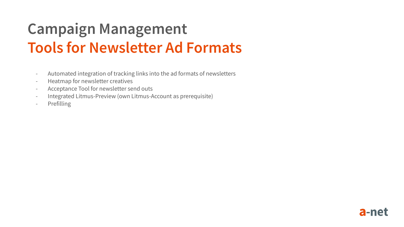## **Campaign Management Tools for Newsletter Ad Formats**

- Automated integration of tracking links into the ad formats of newsletters
- Heatmap for newsletter creatives
- Acceptance Tool for newsletter send outs
- Integrated Litmus-Preview (own Litmus-Account as prerequisite)
- Prefilling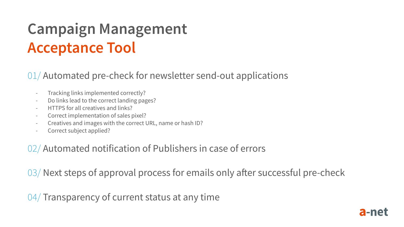## **Campaign Management Acceptance Tool**

#### 01/ Automated pre-check for newsletter send-out applications

- Tracking links implemented correctly?
- Do links lead to the correct landing pages?
- HTTPS for all creatives and links?
- Correct implementation of sales pixel?
- Creatives and images with the correct URL, name or hash ID?
- Correct subject applied?

#### 02/ Automated notification of Publishers in case of errors

03/ Next steps of approval process for emails only after successful pre-check

04/ Transparency of current status at any time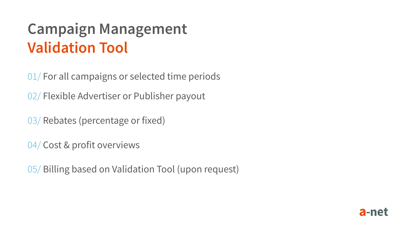## **Campaign Management Validation Tool**

01/ For all campaigns or selected time periods

02/ Flexible Advertiser or Publisher payout

03/ Rebates (percentage or fixed)

04/ Cost & profit overviews

05/ Billing based on Validation Tool (upon request)

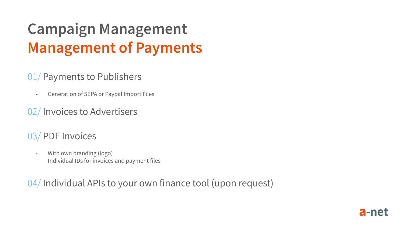# **Campaign Management Management of Payments**

#### 01/ Payments to Publishers

- Generation of SEPA or Paypal Import Files

#### 02/ Invoices to Advertisers

### 03/ PDF Invoices

- With own branding (logo)
- Individual IDs for invoices and payment files

04/ Individual APIs to your own finance tool (upon request)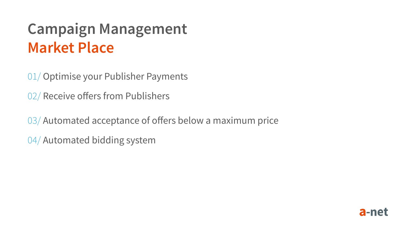## **Campaign Management Market Place**

01/ Optimise your Publisher Payments

02/ Receive offers from Publishers

03/ Automated acceptance of offers below a maximum price

04/ Automated bidding system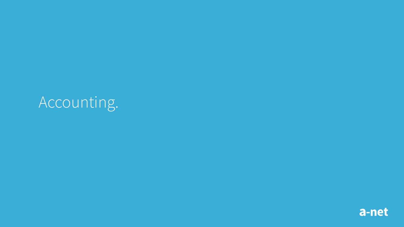# Accounting.

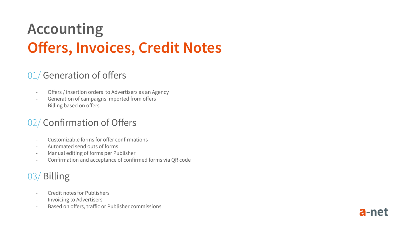# **Accounting Offers, Invoices, Credit Notes**

#### 01/ Generation of offers

- Offers / insertion orders to Advertisers as an Agency
- Generation of campaigns imported from offers
- Billing based on offers

### 02/ Confirmation of Offers

- Customizable forms for offer confirmations
- Automated send outs of forms
- Manual editing of forms per Publisher
- Confirmation and acceptance of confirmed forms via QR code

a-net

### 03/ Billing

- Credit notes for Publishers
- Invoicing to Advertisers
- Based on offers, traffic or Publisher commissions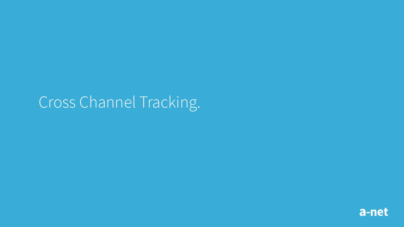## Cross Channel Tracking.

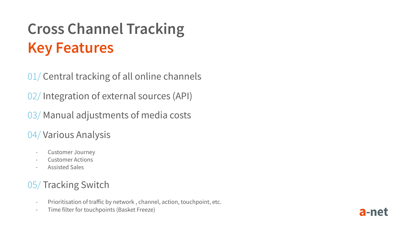# **Cross Channel Tracking Key Features**

01/ Central tracking of all online channels

02/ Integration of external sources (API)

03/ Manual adjustments of media costs

### 04/ Various Analysis

- Customer Journey
- Customer Actions
- Assisted Sales

### 05/ Tracking Switch

- Prioritisation of traffic by network , channel, action, touchpoint, etc.
- Time filter for touchpoints (Basket Freeze)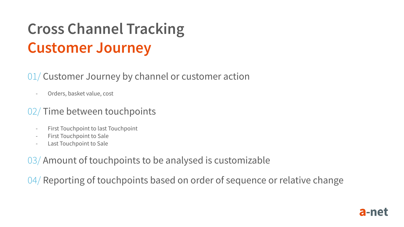# **Cross Channel Tracking Customer Journey**

#### 01/ Customer Journey by channel or customer action

- Orders, basket value, cost

#### 02/ Time between touchpoints

- First Touchpoint to last Touchpoint
- First Touchpoint to Sale
- Last Touchpoint to Sale

03/ Amount of touchpoints to be analysed is customizable

04/ Reporting of touchpoints based on order of sequence or relative change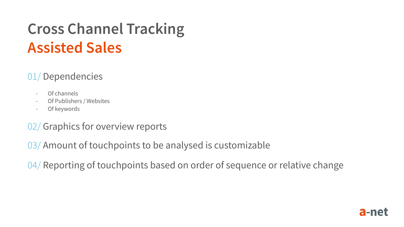## **Cross Channel Tracking Assisted Sales**

### 01/ Dependencies

- Of channels
- Of Publishers / Websites
- Of keywords

### 02/ Graphics for overview reports

03/ Amount of touchpoints to be analysed is customizable

04/ Reporting of touchpoints based on order of sequence or relative change

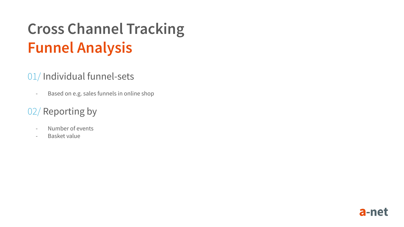# **Cross Channel Tracking Funnel Analysis**

### 01/ Individual funnel-sets

- Based on e.g. sales funnels in online shop

### 02/ Reporting by

- Number of events
- Basket value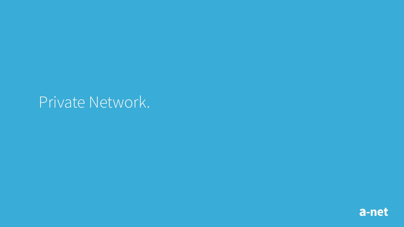### Private Network.

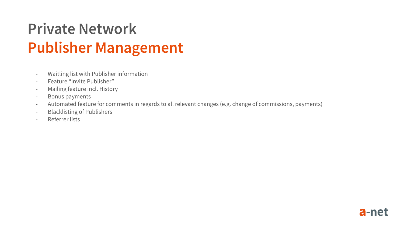# **Private Network Publisher Management**

- Waitling list with Publisher information
- Feature "Invite Publisher"
- Mailing feature incl. History
- Bonus payments
- Automated feature for comments in regards to all relevant changes (e.g. change of commissions, payments)
- Blacklisting of Publishers
- Referrer lists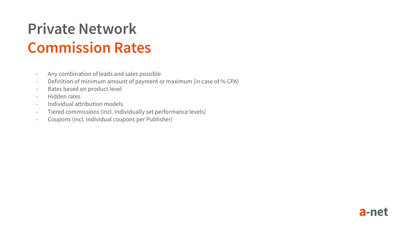## **Private Network Commission Rates**

- Any combination of leads and sales possible
- Definition of minimum amount of payment or maximum (in case of % CPA)
- Rates based on product level
- Hidden rates
- Individual attribution models
- Tiered commissions (incl. Individually set performance levels)
- Coupons (incl. Individual coupons per Publisher)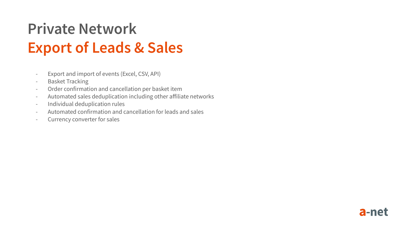# **Private Network Export of Leads & Sales**

- Export and import of events (Excel, CSV, API)
- Basket Tracking
- Order confirmation and cancellation per basket item
- Automated sales deduplication including other affiliate networks
- Individual deduplication rules
- Automated confirmation and cancellation for leads and sales
- Currency converter for sales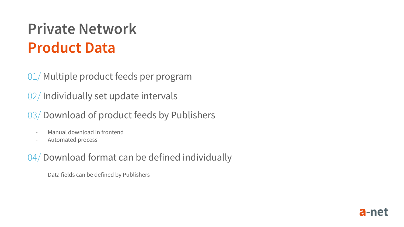## **Private Network Product Data**

01/ Multiple product feeds per program

02/ Individually set update intervals

03/ Download of product feeds by Publishers

- Manual download in frontend
- Automated process

04/ Download format can be defined individually

- Data fields can be defined by Publishers

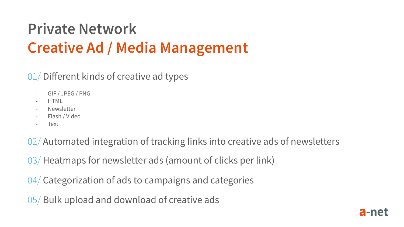# **Private Network Creative Ad / Media Management**

### 01/ Different kinds of creative ad types

- GIF / JPEG / PNG
- HTML
- **Newsletter**
- Flash / Video
- **Text**

02/ Automated integration of tracking links into creative ads of newsletters

03/ Heatmaps for newsletter ads (amount of clicks per link)

04/ Categorization of ads to campaigns and categories

05/ Bulk upload and download of creative ads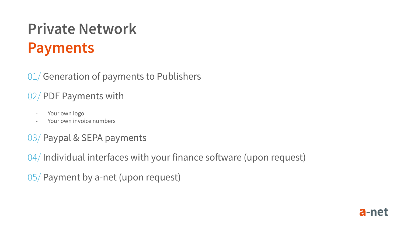# **Private Network Payments**

01/ Generation of payments to Publishers

### 02/ PDF Payments with

- Your own logo
- Your own invoice numbers

### 03/ Paypal & SEPA payments

04/ Individual interfaces with your finance software (upon request)

05/ Payment by a-net (upon request)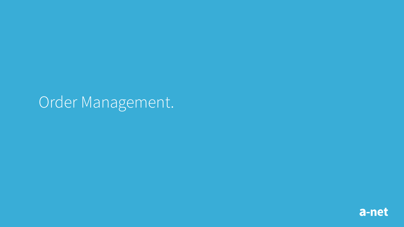### Order Management.

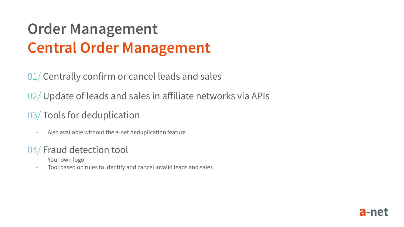## **Order Management Central Order Management**

01/ Centrally confirm or cancel leads and sales

02/ Update of leads and sales in affiliate networks via APIs

### 03/ Tools for deduplication

- Also available without the a-net deduplication feature

### 04/ Fraud detection tool

- Your own logo
- Tool based on rules to identify and cancel invalid leads and sales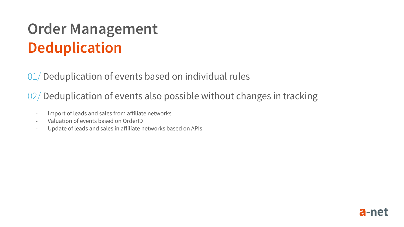## **Order Management Deduplication**

01/ Deduplication of events based on individual rules

02/ Deduplication of events also possible without changes in tracking

- Import of leads and sales from affiliate networks
- Valuation of events based on OrderID
- Update of leads and sales in affiliate networks based on APIs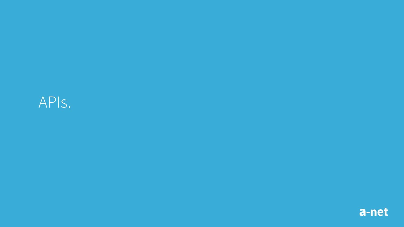### APIs.

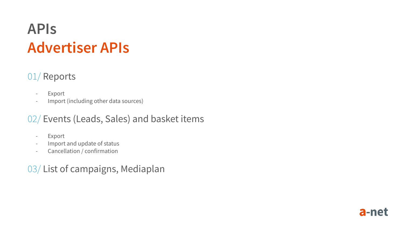### **APIs Advertiser APIs**

### 01/ Reports

- Export
- Import (including other data sources)

#### 02/ Events (Leads, Sales) and basket items

- Export
- Import and update of status
- Cancellation / confirmation

### 03/ List of campaigns, Mediaplan

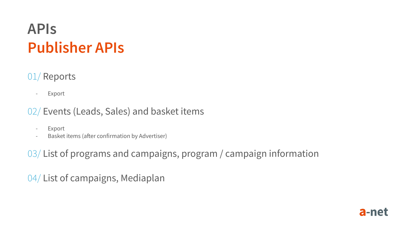### **APIs Publisher APIs**

### 01/ Reports

- Export

#### 02/ Events (Leads, Sales) and basket items

- Export
- Basket items (after confirmation by Advertiser)

03/ List of programs and campaigns, program / campaign information

04/ List of campaigns, Mediaplan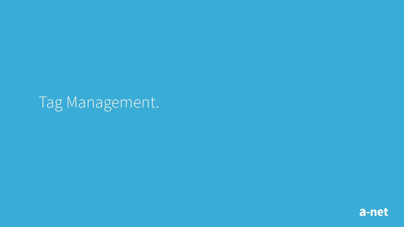## Tag Management.

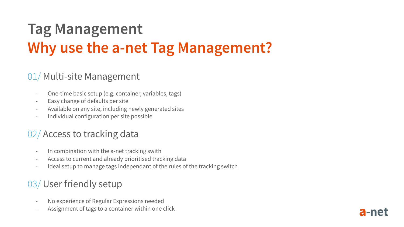## **Tag Management Why use the a-net Tag Management?**

#### 01/ Multi-site Management

- One-time basic setup (e.g. container, variables, tags)
- Easy change of defaults per site
- Available on any site, including newly generated sites
- Individual configuration per site possible

### 02/ Access to tracking data

- In combination with the a-net tracking swith
- Access to current and already prioritised tracking data
- Ideal setup to manage tags independant of the rules of the tracking switch

a-ne

### 03/ User friendly setup

- No experience of Regular Expressions needed
- Assignment of tags to a container within one click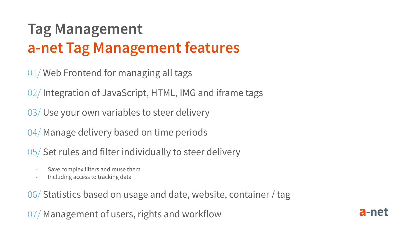## **Tag Management a-net Tag Management features**

01/ Web Frontend for managing all tags

02/ Integration of JavaScript, HTML, IMG and iframe tags

03/ Use your own variables to steer delivery

04/ Manage delivery based on time periods

05/ Set rules and filter individually to steer delivery

- Save complex filters and reuse them
- Including access to tracking data

06/ Statistics based on usage and date, website, container / tag

07/ Management of users, rights and workflow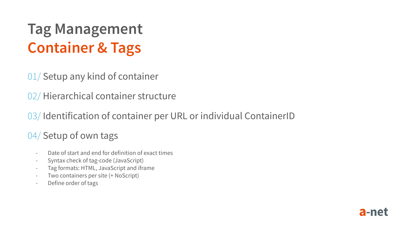## **Tag Management Container & Tags**

01/ Setup any kind of container

02/ Hierarchical container structure

03/ Identification of container per URL or individual ContainerID

### 04/ Setup of own tags

- Date of start and end for definition of exact times
- Syntax check of tag-code (JavaScript)
- Tag formats: HTML, JavaScript and iframe
- Two containers per site (+ NoScript)
- Define order of tags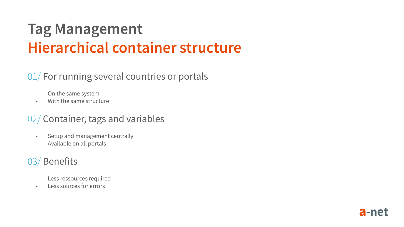## **Tag Management Hierarchical container structure**

#### 01/ For running several countries or portals

- On the same system
- With the same structure

#### 02/ Container, tags and variables

- Setup and management centrally
- Available on all portals

### 03/ Benefits

- Less ressources required
- Less sources for errors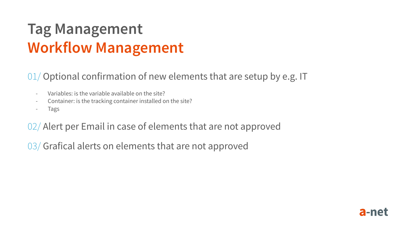## **Tag Management Workflow Management**

#### 01/ Optional confirmation of new elements that are setup by e.g. IT

- Variables: is the variable available on the site?
- Container: is the tracking container installed on the site?
- Tags

02/ Alert per Email in case of elements that are not approved

03/ Grafical alerts on elements that are not approved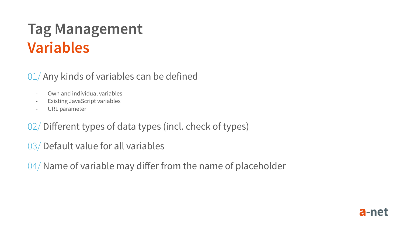### **Tag Management Variables**

### 01/ Any kinds of variables can be defined

- Own and individual variables
- Existing JavaScript variables
- URL parameter

02/ Different types of data types (incl. check of types)

03/ Default value for all variables

04/ Name of variable may differ from the name of placeholder

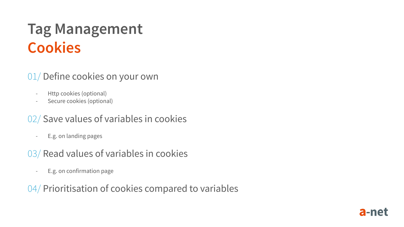### **Tag Management Cookies**

### 01/ Define cookies on your own

- Http cookies (optional)
- Secure cookies (optional)

### 02/ Save values of variables in cookies

- E.g. on landing pages

### 03/ Read values of variables in cookies

- E.g. on confirmation page

### 04/ Prioritisation of cookies compared to variables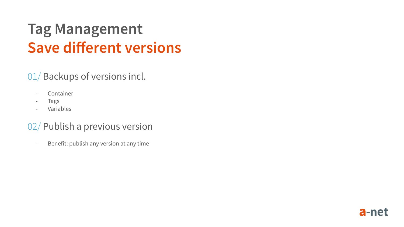### **Tag Management Save different versions**

### 01/ Backups of versions incl.

- Container
- Tags
- **Variables**

### 02/ Publish a previous version

- Benefit: publish any version at any time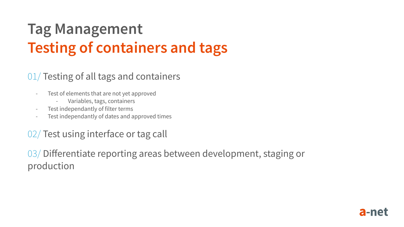# **Tag Management Testing of containers and tags**

#### 01/ Testing of all tags and containers

- Test of elements that are not yet approved
	- Variables, tags, containers
- Test independantly of filter terms
- Test independantly of dates and approved times

#### 02/ Test using interface or tag call

03/ Differentiate reporting areas between development, staging or production

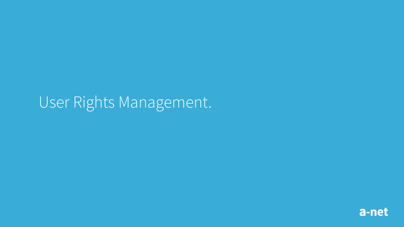### a-net

# User Rights Management.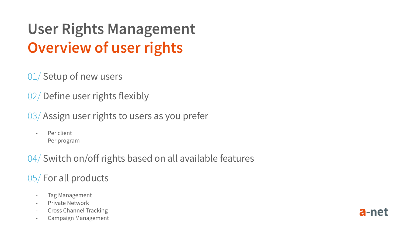# **User Rights Management Overview of user rights**

01/ Setup of new users

02/ Define user rights flexibly

03/ Assign user rights to users as you prefer

- Per client
- Per program

04/ Switch on/off rights based on all available features

### 05/ For all products

- Tag Management
- Private Network
- Cross Channel Tracking
- Campaign Management

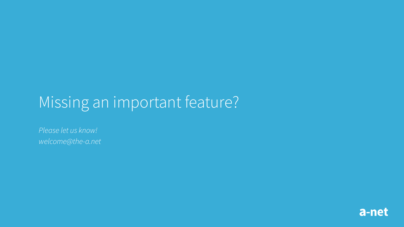# Missing an important feature?

*Please let us know! welcome@the-a.net*